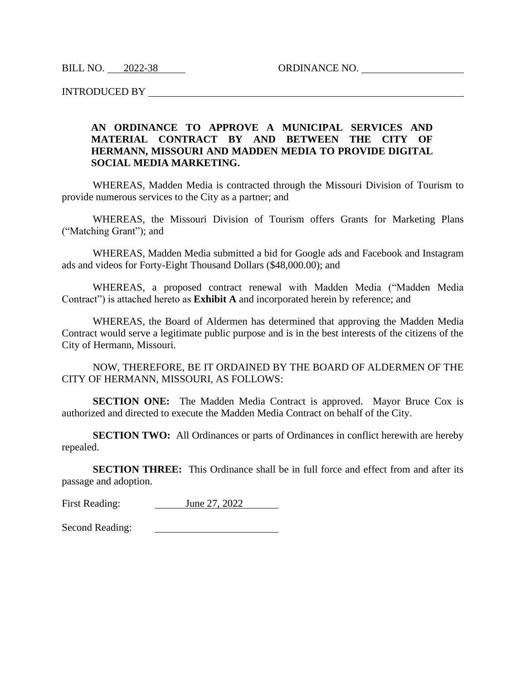BILL NO. 2022-38 ORDINANCE NO.

INTRODUCED BY

## **AN ORDINANCE TO APPROVE A MUNICIPAL SERVICES AND MATERIAL CONTRACT BY AND BETWEEN THE CITY OF HERMANN, MISSOURI AND MADDEN MEDIA TO PROVIDE DIGITAL SOCIAL MEDIA MARKETING.**

WHEREAS, Madden Media is contracted through the Missouri Division of Tourism to provide numerous services to the City as a partner; and

WHEREAS, the Missouri Division of Tourism offers Grants for Marketing Plans ("Matching Grant"); and

WHEREAS, Madden Media submitted a bid for Google ads and Facebook and Instagram ads and videos for Forty-Eight Thousand Dollars (\$48,000.00); and

WHEREAS, a proposed contract renewal with Madden Media ("Madden Media Contract") is attached hereto as **Exhibit A** and incorporated herein by reference; and

WHEREAS, the Board of Aldermen has determined that approving the Madden Media Contract would serve a legitimate public purpose and is in the best interests of the citizens of the City of Hermann, Missouri.

NOW, THEREFORE, BE IT ORDAINED BY THE BOARD OF ALDERMEN OF THE CITY OF HERMANN, MISSOURI, AS FOLLOWS:

**SECTION ONE:** The Madden Media Contract is approved. Mayor Bruce Cox is authorized and directed to execute the Madden Media Contract on behalf of the City.

**SECTION TWO:** All Ordinances or parts of Ordinances in conflict herewith are hereby repealed.

**SECTION THREE:** This Ordinance shall be in full force and effect from and after its passage and adoption.

First Reading: June 27, 2022

Second Reading: